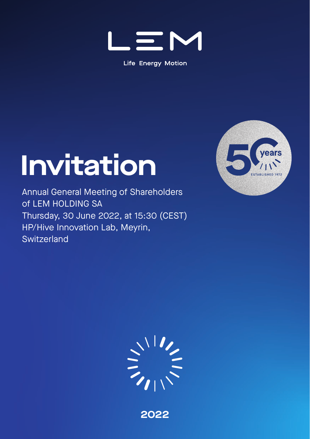

**Life Energy Motion** 

## **Invitation**

Annual General Meeting of Shareholders of LEM HOLDING SA Thursday, 30 June 2022, at 15:30 (CEST) HP/Hive Innovation Lab, Meyrin, **Switzerland** 





**2022**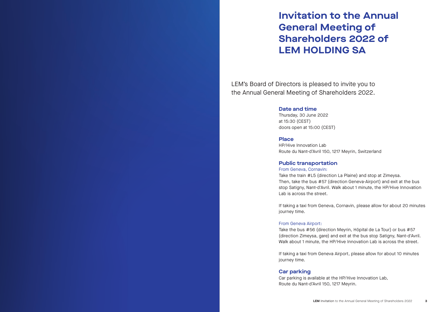## **Invitation to the Annual General Meeting of Shareholders 2022 of LEM HOLDING SA**

LEM's Board of Directors is pleased to invite you to the Annual General Meeting of Shareholders 2022.

#### **Date and time**

Thursday, 30 June 2022 at 15:30 (CEST) doors open at 15:00 (CEST)

#### **Place**

HP/Hive Innovation Lab Route du Nant-d'Avril 150, 1217 Meyrin, Switzerland

#### **Public transportation**

#### From Geneva, Cornavin:

Take the train #L5 (direction La Plaine) and stop at Zimeysa. Then, take the bus #57 (direction Geneva-Airport) and exit at the bus stop Satigny, Nant-d'Avril. Walk about 1 minute, the HP/Hive Innovation Lab is across the street.

If taking a taxi from Geneva, Cornavin, please allow for about 20 minutes journey time.

#### From Geneva Airport:

Take the bus #56 (direction Meyrin, Hôpital de La Tour) or bus #57 (direction Zimeysa, gare) and exit at the bus stop Satigny, Nant-d'Avril. Walk about 1 minute, the HP/Hive Innovation Lab is across the street.

If taking a taxi from Geneva Airport, please allow for about 10 minutes journey time.

#### **Car parking**

Car parking is available at the HP/Hive Innovation Lab, Route du Nant-d'Avril 150, 1217 Meyrin.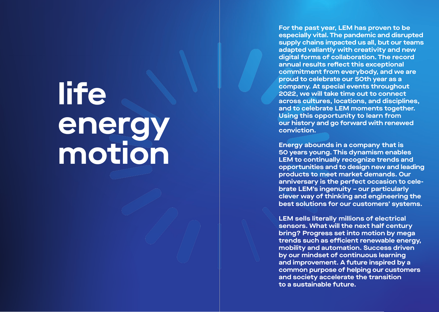# **life energy motion**

**For the past year, LEM has proven to be especially vital. The pandemic and disrupted supply chains impacted us all, but our teams adapted valiantly with creativity and new digital forms of collaboration. The record annual results reflect this exceptional commitment from everybody, and we are proud to celebrate our 50th year as a company. At special events throughout 2022, we will take time out to connect across cultures, locations, and disciplines, and to celebrate LEM moments together. Using this opportunity to learn from our history and go forward with renewed conviction.**

**Energy abounds in a company that is 50 years young. This dynamism enables LEM to continually recognize trends and opportunities and to design new and leading products to meet market demands. Our anniversary is the perfect occasion to celebrate LEM's ingenuity – our particularly clever way of thinking and engineering the best solutions for our customers' systems.**

**LEM sells literally millions of electrical sensors. What will the next half century bring? Progress set into motion by mega**  trends such as efficient renewable energy, **mobility and automation. Success driven by our mindset of continuous learning and improvement. A future inspired by a common purpose of helping our customers and society accelerate the transition to a sustainable future.**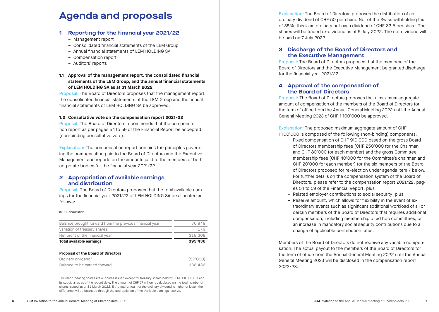#### **1 Reporting for the financial year 2021/22**

- 
- Management report Consolidated financial statements of the LEM Group
- Annual financial statements of LEM HOLDING SA
- Compensation report
- Auditors' reports

#### **1.1 Approval of the management report, the consolidated financial statements of the LEM Group, and the annual financial statements of LEM HOLDING SA as at 31 March 2022**

Proposal: The Board of Directors proposes that the management report, the consolidated financial statements of the LEM Group and the annual financial statements of LEM HOLDING SA be approved.

#### **1.2 Consultative vote on the compensation report 2021/22**

Proposal: The Board of Directors recommends that the compensation report as per pages 54 to 59 of the Financial Report be accepted (non-binding consultative vote).

Explanation: The compensation report contains the principles govern ing the compensation paid to the Board of Directors and the Executive Management and reports on the amounts paid to the members of both corporate bodies for the financial year 2021/22.

#### **2 Appropriation of available earnings and distribution**

Proposal: The Board of Directors proposes that the total available earnings for the financial year 2021/22 of LEM HOLDING SA be allocated as follows:

#### in CHF thousands

| Balance brought forward from the previous financial year | 76'949  |
|----------------------------------------------------------|---------|
| Variation of treasury shares                             | 179     |
| Net profit of the financial year                         | 318'308 |
| Total available earnings                                 | 395'436 |

#### **Proposal of the Board of Directors**

| Balance to be carried forward | 338'436 |
|-------------------------------|---------|

1 Dividend-bearing shares are all shares issued except for treasury shares held by LEM HOLDING SA and its subsidiaries as of the record date. The amount of CHF 57 million is calculated on the total number of shares issued as of 31 March 2022. If the total amount of the ordinary dividend is higher or lower, the difference will be balanced through the appropriation of the available earnings reserve.

**Agenda and proposals** Explanation: The Board of Directors proposes the distribution of an ordinary dividend of CHF 50 per share. Net of the Swiss withholding tax of 35%, this is an ordinary net cash dividend of CHF 32.5 per share. The shares will be traded ex-dividend as of 5 July 2022. The net dividend will be paid on 7 July 2022.

#### **3 Discharge of the Board of Directors and the Executive Management**

Proposal: The Board of Directors proposes that the members of the Board of Directors and the Executive Management be granted discharge for the financial year 2021/22.

#### **4 Approval of the compensation of the Board of Directors**

Proposal: The Board of Directors proposes that a maximum aggregate amount of compensation of the members of the Board of Directors for the term of office from the Annual General Meeting 2022 until the Annual General Meeting 2023 of CHF 1'100'000 be approved.

Explanation: The proposed maximum aggregate amount of CHF 1'100'000 is composed of the following (non-binding) components:

- Fixed compensation of CHF 910'000 based on the gross Board of Directors membership fees (CHF 250'000 for the Chairman and CHF 80'000 for each member) and the gross Committee membership fees (CHF 40'000 for the Committee's chairman and CHF 20'000 for each member) for the six members of the Board of Directors proposed for re-election under agenda item 7 below. For further details on the compensation system of the Board of Directors, please refer to the compensation report 2021/22, pag es 54 to 59 of the Financial Report; plus
- Related employer contributions to social security; plus
- Reserve amount, which allows for flexibility in the event of extraordinary events such as significant additional workload of all or certain members of the Board of Directors that requires additional compensation, including membership of ad hoc committees, or an increase in mandatory social security contributions due to a change of applicable contribution rates.

Members of the Board of Directors do not receive any variable compen sation. The actual payout to the members of the Board of Directors for the term of office from the Annual General Meeting 2022 until the Annual General Meeting 2023 will be disclosed in the compensation report 2022/23.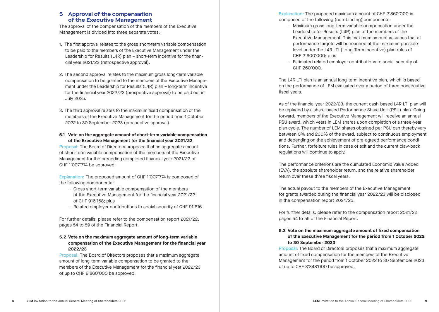#### **5 Approval of the compensation of the Executive Management**

The approval of the compensation of the members of the Executive Management is divided into three separate votes:

- 1. The first approval relates to the gross short-term variable compensation to be paid to the members of the Executive Management under the Leadership for Results (L4R) plan – short-term incentive for the financial year 2021/22 (retrospective approval).
- 2. The second approval relates to the maximum gross long-term variable compensation to be granted to the members of the Executive Management under the Leadership for Results (L4R) plan – long-term incentive for the financial year 2022/23 (prospective approval) to be paid out in July 2025.
- 3. The third approval relates to the maximum fixed compensation of the members of the Executive Management for the period from 1 October 2022 to 30 September 2023 (prospective approval).

#### **5.1 Vote on the aggregate amount of short-term variable compensation of the Executive Management for the financial year 2021/22**

Proposal: The Board of Directors proposes that an aggregate amount of short-term variable compensation of the members of the Executive Management for the preceding completed financial year 2021/22 of CHF 1'007'774 be approved.

Explanation: The proposed amount of CHF 1'007'774 is composed of the following components:

- Gross short-term variable compensation of the members of the Executive Management for the financial year 2021/22 of CHF 916'158; plus
- Related employer contributions to social security of CHF 91'616.

For further details, please refer to the compensation report 2021/22, pages 54 to 59 of the Financial Report.

#### **5.2 Vote on the maximum aggregate amount of long-term variable compensation of the Executive Management for the financial year 2022/23**

Proposal: The Board of Directors proposes that a maximum aggregate amount of long-term variable compensation to be granted to the members of the Executive Management for the financial year 2022/23 of up to CHF 2'860'000 be approved.

Explanation: The proposed maximum amount of CHF 2'860'000 is composed of the following (non-binding) components:

- Maximum gross long-term variable compensation under the Leadership for Results (L4R) plan of the members of the Executive Management. This maximum amount assumes that all performance targets will be reached at the maximum possible level under the L4R LTI (Long-Term Incentive) plan rules of CHF 2'600'000; plus
- Estimated related employer contributions to social security of CHF 260'000.

The L4R LTI plan is an annual long-term incentive plan, which is based on the performance of LEM evaluated over a period of three consecutive fiscal years.

As of the financial year 2022/23, the current cash-based L4R LTI plan will be replaced by a share-based Performance Share Unit (PSU) plan. Going forward, members of the Executive Management will receive an annual PSU award, which vests in LEM shares upon completion of a three-year plan cycle. The number of LEM shares obtained per PSU can thereby vary between 0% and 200% of the award, subject to continuous employment and depending on the achievement of pre-agreed performance conditions. Further, forfeiture rules in case of exit and the current claw-back regulations will continue to apply.

The performance criterions are the cumulated Economic Value Added (EVA), the absolute shareholder return, and the relative shareholder return over these three fiscal years.

The actual payout to the members of the Executive Management for grants awarded during the financial year 2022/23 will be disclosed in the compensation report 2024/25.

For further details, please refer to the compensation report 2021/22, pages 54 to 59 of the Financial Report.

#### **5.3 Vote on the maximum aggregate amount of fixed compensation of the Executive Management for the period from 1 October 2022 to 30 September 2023**

Proposal: The Board of Directors proposes that a maximum aggregate amount of fixed compensation for the members of the Executive Management for the period from 1 October 2022 to 30 September 2023 of up to CHF 3'348'000 be approved.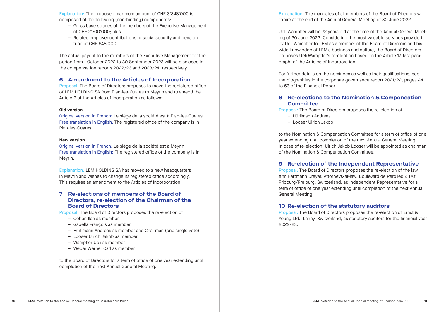Explanation: The proposed maximum amount of CHF 3'348'000 is composed of the following (non-binding) components:

- Gross base salaries of the members of the Executive Management of CHF 2'700'000; plus
- Related employer contributions to social security and pension fund of CHF 648'000.

The actual payout to the members of the Executive Management for the period from 1 October 2022 to 30 September 2023 will be disclosed in the compensation reports 2022/23 and 2023/24, respectively.

#### **6 Amendment to the Articles of Incorporation**

Proposal: The Board of Directors proposes to move the registered office of LEM HOLDING SA from Plan-les-Ouates to Meyrin and to amend the Article 2 of the Articles of Incorporation as follows:

#### **Old version**

Original version in French: Le siège de la société est à Plan-les-Ouates. Free translation in English: The registered office of the company is in Plan-les-Ouates.

#### **New version**

Original version in French: Le siège de la société est à Meyrin. Free translation in English: The registered office of the company is in Meyrin.

Explanation: LEM HOLDING SA has moved to a new headquarters in Meyrin and wishes to change its registered office accordingly. This requires an amendment to the Articles of Incorporation.

#### **7 Re-elections of members of the Board of Directors, re-election of the Chairman of the Board of Directors**

Proposal: The Board of Directors proposes the re-election of

- Cohen Ilan as member
- Gabella François as member
- Hürlimann Andreas as member and Chairman (one single vote)
- Looser Ulrich Jakob as member
- Wampfler Ueli as member
- Weber Werner Carl as member

to the Board of Directors for a term of office of one year extending until completion of the next Annual General Meeting.

Explanation: The mandates of all members of the Board of Directors will expire at the end of the Annual General Meeting of 30 June 2022.

Ueli Wampfler will be 72 years old at the time of the Annual General Meeting of 30 June 2022. Considering the most valuable services provided by Ueli Wampfler to LEM as a member of the Board of Directors and his wide knowledge of LEM's business and culture, the Board of Directors proposes Ueli Wampfler's re-election based on the Article 17, last paragraph, of the Articles of Incorporation.

For further details on the nominees as well as their qualifications, see the biographies in the corporate governance report 2021/22, pages 44 to 53 of the Financial Report.

#### **8 Re-elections to the Nomination & Compensation Committee**

Proposal: The Board of Directors proposes the re-election of

- Hürlimann Andreas
- Looser Ulrich Jakob

to the Nomination & Compensation Committee for a term of office of one year extending until completion of the next Annual General Meeting. In case of re-election, Ulrich Jakob Looser will be appointed as chairman of the Nomination & Compensation Committee.

#### **9 Re-election of the Independent Representative**

Proposal: The Board of Directors proposes the re-election of the law firm Hartmann Dreyer, Attorneys-at-law, Boulevard de Pérolles 7, 1701 Fribourg/Freiburg, Switzerland, as Independent Representative for a term of office of one year extending until completion of the next Annual General Meeting.

#### **10 Re-election of the statutory auditors**

Proposal: The Board of Directors proposes the re-election of Ernst & Young Ltd., Lancy, Switzerland, as statutory auditors for the financial year 2022/23.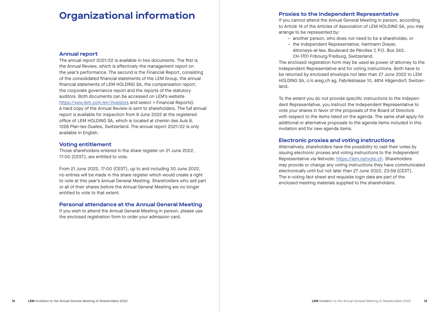### **Organizational information**

#### **Annual report**

The annual report 2021/22 is available in two documents. The first is the Annual Review, which is effectively the management report on the year's performance. The second is the Financial Report, consisting of the consolidated financial statements of the LEM Group, the annual financial statements of LEM HOLDING SA, the compensation report, the corporate governance report and the reports of the statutory auditors. Both documents can be accessed on LEM's website https://www.lem.com/en/investors and select > Financial Reports). A hard copy of the Annual Review is sent to shareholders. The full annual report is available for inspection from 9 June 2022 at the registered office of LEM HOLDING SA, which is located at chemin des Aulx 8, 1228 Plan-les-Ouates, Switzerland. The annual report 2021/22 is only available in English.

#### **Voting entitlement**

Those shareholders entered in the share register on 21 June 2022, 17:00 (CEST), are entitled to vote.

From 21 June 2022, 17:00 (CEST), up to and including 30 June 2022, no entries will be made in the share register which would create a right to vote at this year's Annual General Meeting. Shareholders who sell part or all of their shares before the Annual General Meeting are no longer entitled to vote to that extent.

#### **Personal attendance at the Annual General Meeting**

If you wish to attend the Annual General Meeting in person, please use the enclosed registration form to order your admission card.

If you cannot attend the Annual General Meeting in person, according to Article 14 of the Articles of Association of LEM HOLDING SA, you may arrange to be represented by:

- another person, who does not need to be a shareholder, or
- the Independent Representative, Hartmann Dreyer, Attorneys-at-law, Boulevard de Pérolles 7, P.O. Box 343, CH-1701 Fribourg/Freiburg, Switzerland.

The enclosed registration form may be used as power of attorney to the Independent Representative and for voting instructions. Both have to be returned by enclosed envelope not later than 27 June 2022 to LEM HOLDING SA, c/o areg.ch ag, Fabrikstrasse 10, 4614 Hägendorf, Switzerland.

To the extent you do not provide specific instructions to the Independent Representative, you instruct the Independent Representative to vote your shares in favor of the proposals of the Board of Directors with respect to the items listed on the agenda. The same shall apply for additional or alternative proposals to the agenda items included in this invitation and for new agenda items.

#### **Electronic proxies and voting instructions**

Alternatively, shareholders have the possibility to cast their votes by issuing electronic proxies and voting instructions to the Independent Representative via Netvote: https://lem.netvote.ch. Shareholders may provide or change any voting instructions they have communicated electronically until but not later than 27 June 2022, 23:59 (CEST). The e-voting fact sheet and requisite login data are part of the enclosed meeting materials supplied to the shareholders.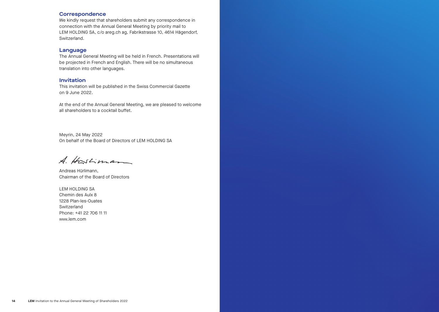#### **Correspondence**

We kindly request that shareholders submit any correspondence in connection with the Annual General Meeting by priority mail to LEM HOLDING SA, c/o areg.ch ag, Fabrikstrasse 10, 4614 Hägendorf, Switzerland.

#### **Language**

The Annual General Meeting will be held in French. Presentations will be projected in French and English. There will be no simultaneous translation into other languages.

#### **Invitation**

This invitation will be published in the Swiss Commercial Gazette on 9 June 2022.

At the end of the Annual General Meeting, we are pleased to welcome all shareholders to a cocktail buffet.

Meyrin, 24 May 2022 On behalf of the Board of Directors of LEM HOLDING SA

A. Hostiman

Andreas Hürlimann, Chairman of the Board of Directors

LEM HOLDING SA Chemin des Aulx 8 1228 Plan-les-Ouates Switzerland Phone: +41 22 706 11 11 ww.lem.com